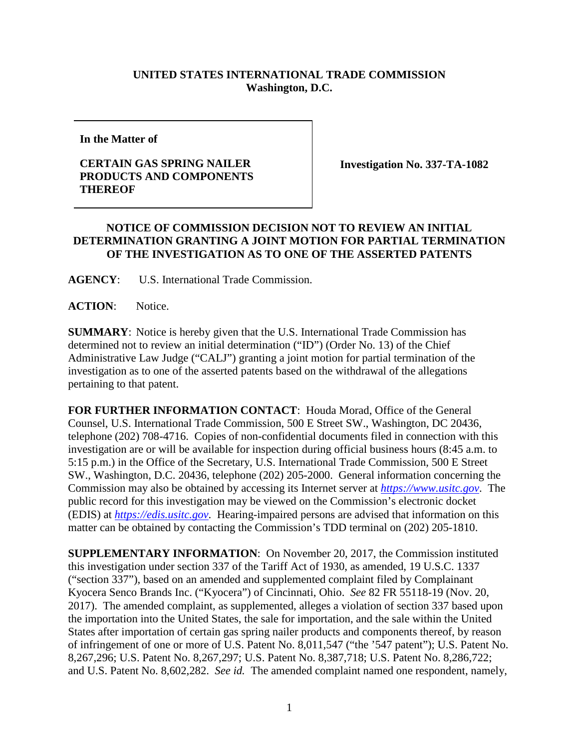## **UNITED STATES INTERNATIONAL TRADE COMMISSION Washington, D.C.**

**In the Matter of**

## **CERTAIN GAS SPRING NAILER PRODUCTS AND COMPONENTS THEREOF**

**Investigation No. 337-TA-1082**

## **NOTICE OF COMMISSION DECISION NOT TO REVIEW AN INITIAL DETERMINATION GRANTING A JOINT MOTION FOR PARTIAL TERMINATION OF THE INVESTIGATION AS TO ONE OF THE ASSERTED PATENTS**

**AGENCY**: U.S. International Trade Commission.

**ACTION**: Notice.

**SUMMARY**: Notice is hereby given that the U.S. International Trade Commission has determined not to review an initial determination ("ID") (Order No. 13) of the Chief Administrative Law Judge ("CALJ") granting a joint motion for partial termination of the investigation as to one of the asserted patents based on the withdrawal of the allegations pertaining to that patent.

**FOR FURTHER INFORMATION CONTACT**: Houda Morad, Office of the General Counsel, U.S. International Trade Commission, 500 E Street SW., Washington, DC 20436, telephone (202) 708-4716. Copies of non-confidential documents filed in connection with this investigation are or will be available for inspection during official business hours (8:45 a.m. to 5:15 p.m.) in the Office of the Secretary, U.S. International Trade Commission, 500 E Street SW., Washington, D.C. 20436, telephone (202) 205-2000. General information concerning the Commission may also be obtained by accessing its Internet server at *[https://www.usitc.gov](https://www.usitc.gov/)*. The public record for this investigation may be viewed on the Commission's electronic docket (EDIS) at *[https://edis.usitc.gov](http://edis.usitc.gov/)*. Hearing-impaired persons are advised that information on this matter can be obtained by contacting the Commission's TDD terminal on (202) 205-1810.

**SUPPLEMENTARY INFORMATION**: On November 20, 2017, the Commission instituted this investigation under section 337 of the Tariff Act of 1930, as amended, 19 U.S.C. 1337 ("section 337"), based on an amended and supplemented complaint filed by Complainant Kyocera Senco Brands Inc. ("Kyocera") of Cincinnati, Ohio. *See* 82 FR 55118-19 (Nov. 20, 2017). The amended complaint, as supplemented, alleges a violation of section 337 based upon the importation into the United States, the sale for importation, and the sale within the United States after importation of certain gas spring nailer products and components thereof, by reason of infringement of one or more of U.S. Patent No. 8,011,547 ("the '547 patent"); U.S. Patent No. 8,267,296; U.S. Patent No. 8,267,297; U.S. Patent No. 8,387,718; U.S. Patent No. 8,286,722; and U.S. Patent No. 8,602,282. *See id.* The amended complaint named one respondent, namely,